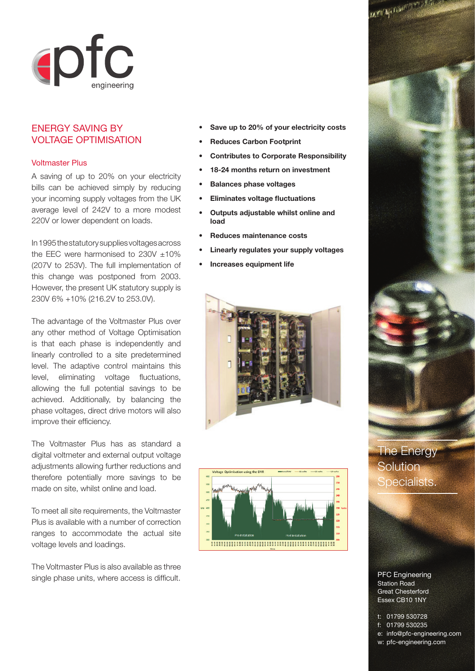

## ENERGY SAVING BY VOLTAGE OPTIMISATION

## Voltmaster Plus

A saving of up to 20% on your electricity bills can be achieved simply by reducing your incoming supply voltages from the UK average level of 242V to a more modest 220V or lower dependent on loads.

In 1995 the statutory supplies voltages across the EEC were harmonised to  $230V \pm 10\%$ (207V to 253V). The full implementation of this change was postponed from 2003. However, the present UK statutory supply is 230V 6% +10% (216.2V to 253.0V).

The advantage of the Voltmaster Plus over any other method of Voltage Optimisation is that each phase is independently and linearly controlled to a site predetermined level. The adaptive control maintains this level, eliminating voltage fluctuations, allowing the full potential savings to be achieved. Additionally, by balancing the phase voltages, direct drive motors will also improve their efficiency.

The Voltmaster Plus has as standard a digital voltmeter and external output voltage adjustments allowing further reductions and therefore potentially more savings to be made on site, whilst online and load.

To meet all site requirements, the Voltmaster Plus is available with a number of correction ranges to accommodate the actual site voltage levels and loadings.

The Voltmaster Plus is also available as three single phase units, where access is difficult.

- **Save up to 20% of your electricity costs**
- **Reduces Carbon Footprint**
- **Contributes to Corporate Responsibility**
- **18-24 months return on investment**
- **Balances phase voltages**
- **Eliminates voltage fluctuations**
- **Outputs adjustable whilst online and load**
- **Reduces maintenance costs**
- **Linearly regulates your supply voltages**
- **Increases equipment life**







The Energy **Solution** Specialists.

PFC Engineering Station Road Great Chesterford Essex CB10 1NY

t: 01799 530728 f: 01799 530235 e: info@pfc-engineering.com w: pfc-engineering.com